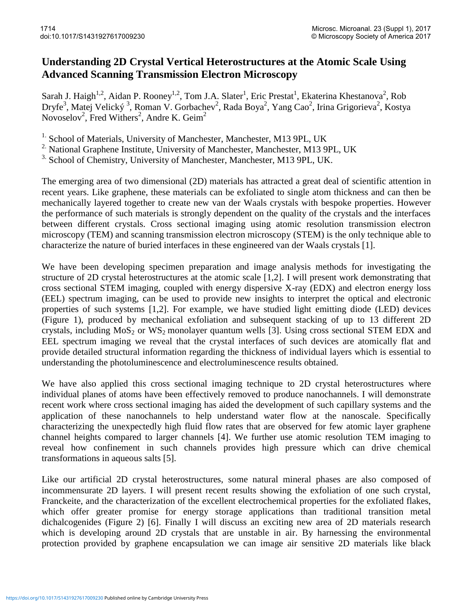## **Understanding 2D Crystal Vertical Heterostructures at the Atomic Scale Using Advanced Scanning Transmission Electron Microscopy**

Sarah J. Haigh<sup>1,2</sup>, Aidan P. Rooney<sup>1,2</sup>, Tom J.A. Slater<sup>1</sup>, Eric Prestat<sup>1</sup>, Ekaterina Khestanova<sup>2</sup>, Rob Dryfe<sup>3</sup>, Matej Velický<sup>3</sup>, Roman V. Gorbachev<sup>2</sup>, Rada Boya<sup>2</sup>, Yang Cao<sup>2</sup>, Irina Grigorieva<sup>2</sup>, Kostya Novoselov<sup>2</sup>, Fred Withers<sup>2</sup>, Andre K. Geim<sup>2</sup>

<sup>1.</sup> School of Materials, University of Manchester, Manchester, M13 9PL, UK

<sup>2</sup> National Graphene Institute, University of Manchester, Manchester, M13 9PL, UK

<sup>3.</sup> School of Chemistry, University of Manchester, Manchester, M13 9PL, UK.

The emerging area of two dimensional (2D) materials has attracted a great deal of scientific attention in recent years. Like graphene, these materials can be exfoliated to single atom thickness and can then be mechanically layered together to create new van der Waals crystals with bespoke properties. However the performance of such materials is strongly dependent on the quality of the crystals and the interfaces between different crystals. Cross sectional imaging using atomic resolution transmission electron microscopy (TEM) and scanning transmission electron microscopy (STEM) is the only technique able to characterize the nature of buried interfaces in these engineered van der Waals crystals [1].

We have been developing specimen preparation and image analysis methods for investigating the structure of 2D crystal heterostructures at the atomic scale [1,2]. I will present work demonstrating that cross sectional STEM imaging, coupled with energy dispersive X-ray (EDX) and electron energy loss (EEL) spectrum imaging, can be used to provide new insights to interpret the optical and electronic properties of such systems [1,2]. For example, we have studied light emitting diode (LED) devices (Figure 1), produced by mechanical exfoliation and subsequent stacking of up to 13 different 2D crystals, including  $MoS<sub>2</sub>$  or  $WS<sub>2</sub>$  monolayer quantum wells [3]. Using cross sectional STEM EDX and EEL spectrum imaging we reveal that the crystal interfaces of such devices are atomically flat and provide detailed structural information regarding the thickness of individual layers which is essential to understanding the photoluminescence and electroluminescence results obtained.

We have also applied this cross sectional imaging technique to 2D crystal heterostructures where individual planes of atoms have been effectively removed to produce nanochannels. I will demonstrate recent work where cross sectional imaging has aided the development of such capillary systems and the application of these nanochannels to help understand water flow at the nanoscale. Specifically characterizing the unexpectedly high fluid flow rates that are observed for few atomic layer graphene channel heights compared to larger channels [4]. We further use atomic resolution TEM imaging to reveal how confinement in such channels provides high pressure which can drive chemical transformations in aqueous salts [5].

Like our artificial 2D crystal heterostructures, some natural mineral phases are also composed of incommensurate 2D layers. I will present recent results showing the exfoliation of one such crystal, Franckeite, and the characterization of the excellent electrochemical properties for the exfoliated flakes, which offer greater promise for energy storage applications than traditional transition metal dichalcogenides (Figure 2) [6]. Finally I will discuss an exciting new area of 2D materials research which is developing around 2D crystals that are unstable in air. By harnessing the environmental protection provided by graphene encapsulation we can image air sensitive 2D materials like black